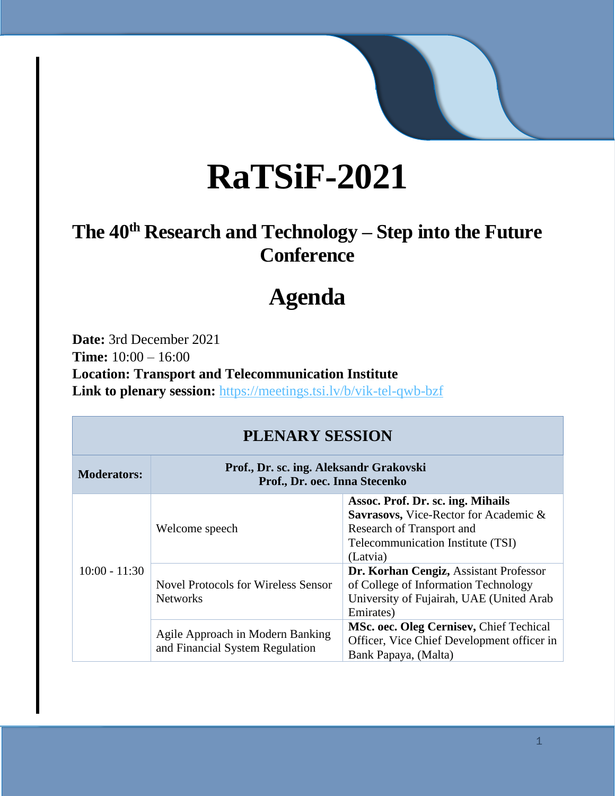# **RaTSiF-2021**

### **The 40th Research and Technology – Step into the Future Conference**

## **Agenda**

**Date:** 3rd December 2021 **Time:** 10:00 – 16:00 **Location: Transport and Telecommunication Institute Link to plenary session:** <https://meetings.tsi.lv/b/vik-tel-qwb-bzf>

| PLENARY SESSION    |                                                                          |                                                                                                                                                          |  |  |  |
|--------------------|--------------------------------------------------------------------------|----------------------------------------------------------------------------------------------------------------------------------------------------------|--|--|--|
| <b>Moderators:</b> | Prof., Dr. sc. ing. Aleksandr Grakovski<br>Prof., Dr. oec. Inna Stecenko |                                                                                                                                                          |  |  |  |
| $10:00 - 11:30$    | Welcome speech                                                           | Assoc. Prof. Dr. sc. ing. Mihails<br>Savrasovs, Vice-Rector for Academic &<br>Research of Transport and<br>Telecommunication Institute (TSI)<br>(Latvia) |  |  |  |
|                    | <b>Novel Protocols for Wireless Sensor</b><br><b>Networks</b>            | Dr. Korhan Cengiz, Assistant Professor<br>of College of Information Technology<br>University of Fujairah, UAE (United Arab<br>Emirates)                  |  |  |  |
|                    | Agile Approach in Modern Banking<br>and Financial System Regulation      | MSc. oec. Oleg Cernisev, Chief Techical<br>Officer, Vice Chief Development officer in<br>Bank Papaya, (Malta)                                            |  |  |  |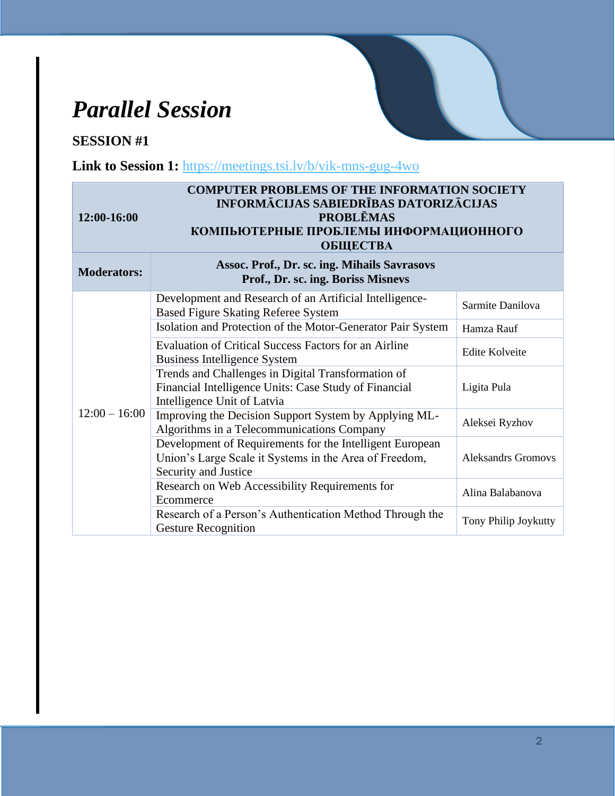### *Parallel Session*

#### **SESSION #1**

Link to Session 1: <https://meetings.tsi.lv/b/vik-mns-gug-4wo>

| <b>COMPUTER PROBLEMS OF THE INFORMATION SOCIETY</b><br><b>INFORMĀCIJAS SABIEDRĪBAS DATORIZĀCIJAS</b><br><b>PROBLEMAS</b><br>12:00-16:00<br>КОМПЬЮТЕРНЫЕ ПРОБЛЕМЫ ИНФОРМАЦИОННОГО<br><b>ОБЩЕСТВА</b> |                                                                                                                                            |                           |  |  |
|-----------------------------------------------------------------------------------------------------------------------------------------------------------------------------------------------------|--------------------------------------------------------------------------------------------------------------------------------------------|---------------------------|--|--|
| <b>Moderators:</b>                                                                                                                                                                                  | Assoc. Prof., Dr. sc. ing. Mihails Savrasovs<br>Prof., Dr. sc. ing. Boriss Misnevs                                                         |                           |  |  |
| $12:00 - 16:00$                                                                                                                                                                                     | Development and Research of an Artificial Intelligence-<br><b>Based Figure Skating Referee System</b>                                      | Sarmite Danilova          |  |  |
|                                                                                                                                                                                                     | Isolation and Protection of the Motor-Generator Pair System                                                                                | Hamza Rauf                |  |  |
|                                                                                                                                                                                                     | <b>Evaluation of Critical Success Factors for an Airline</b><br><b>Business Intelligence System</b>                                        | <b>Edite Kolveite</b>     |  |  |
|                                                                                                                                                                                                     | Trends and Challenges in Digital Transformation of<br>Financial Intelligence Units: Case Study of Financial<br>Intelligence Unit of Latvia | Ligita Pula               |  |  |
|                                                                                                                                                                                                     | Improving the Decision Support System by Applying ML-<br>Algorithms in a Telecommunications Company                                        | Aleksei Ryzhov            |  |  |
|                                                                                                                                                                                                     | Development of Requirements for the Intelligent European<br>Union's Large Scale it Systems in the Area of Freedom,<br>Security and Justice | <b>Aleksandrs Gromovs</b> |  |  |
|                                                                                                                                                                                                     | Research on Web Accessibility Requirements for<br>Ecommerce                                                                                | Alina Balabanova          |  |  |
|                                                                                                                                                                                                     | Research of a Person's Authentication Method Through the<br><b>Gesture Recognition</b>                                                     | Tony Philip Joykutty      |  |  |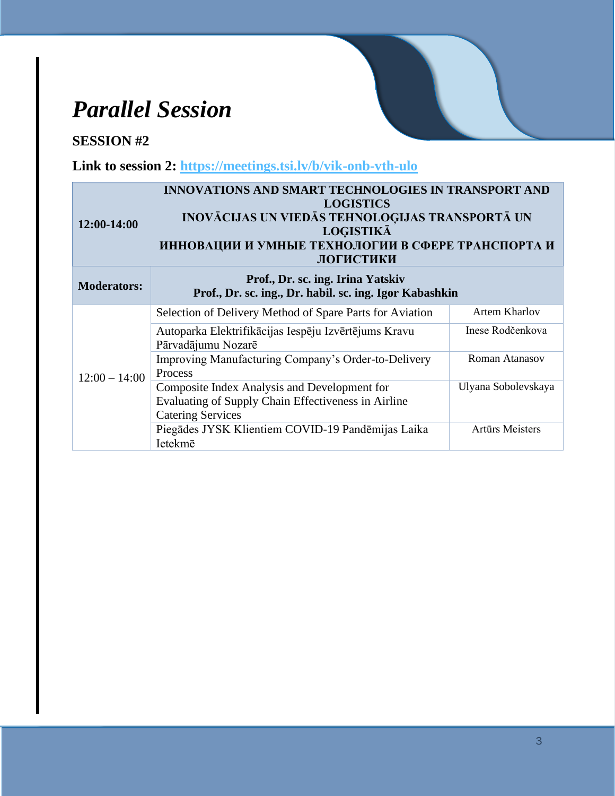### *Parallel Session*

#### **SESSION #2**

**Link to session 2:<https://meetings.tsi.lv/b/vik-onb-vth-ulo>**

| 12:00-14:00        | <b>INNOVATIONS AND SMART TECHNOLOGIES IN TRANSPORT AND</b><br><b>LOGISTICS</b><br>INOVĀCIJAS UN VIEDĀS TEHNOLOĢIJAS TRANSPORTĀ UN<br><b>LOGISTIKĀ</b><br>ИННОВАЦИИ И УМНЫЕ ТЕХНОЛОГИИ В СФЕРЕ ТРАНСПОРТА И<br>ЛОГИСТИКИ |                      |  |
|--------------------|-------------------------------------------------------------------------------------------------------------------------------------------------------------------------------------------------------------------------|----------------------|--|
| <b>Moderators:</b> | Prof., Dr. sc. ing. Irina Yatskiv<br>Prof., Dr. sc. ing., Dr. habil. sc. ing. Igor Kabashkin                                                                                                                            |                      |  |
| $12:00 - 14:00$    | Selection of Delivery Method of Spare Parts for Aviation                                                                                                                                                                | <b>Artem Kharlov</b> |  |
|                    | Autoparka Elektrifikācijas Iespēju Izvērtējums Kravu<br>Pārvadājumu Nozarē                                                                                                                                              | Inese Rodčenkova     |  |
|                    | Improving Manufacturing Company's Order-to-Delivery<br>Process                                                                                                                                                          | Roman Atanasov       |  |
|                    | Composite Index Analysis and Development for<br>Evaluating of Supply Chain Effectiveness in Airline<br><b>Catering Services</b>                                                                                         | Ulyana Sobolevskaya  |  |
|                    | Piegādes JYSK Klientiem COVID-19 Pandēmijas Laika<br>Ietekmē                                                                                                                                                            | Artūrs Meisters      |  |